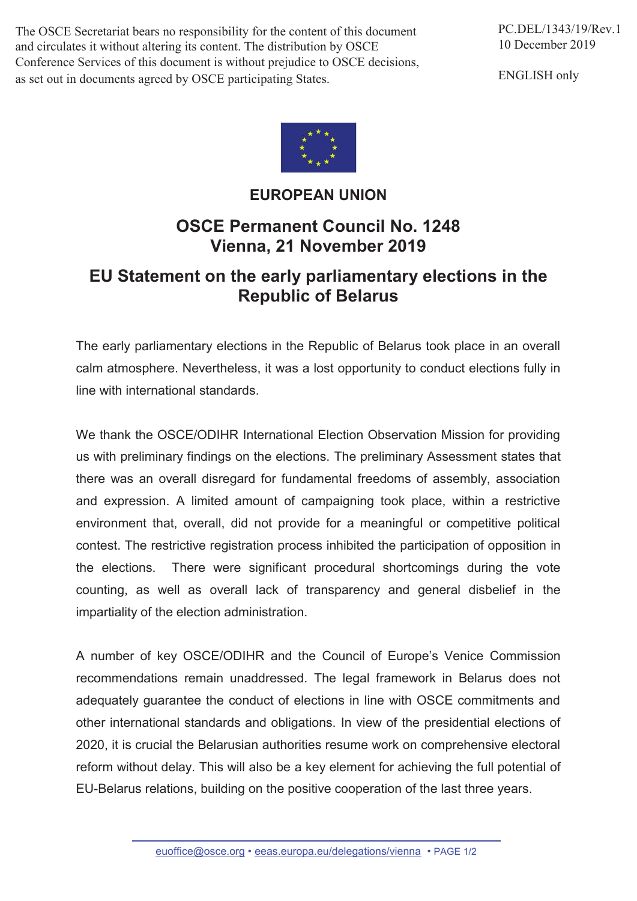The OSCE Secretariat bears no responsibility for the content of this document and circulates it without altering its content. The distribution by OSCE Conference Services of this document is without prejudice to OSCE decisions, as set out in documents agreed by OSCE participating States.

ENGLISH only



## **EUROPEAN UNION**

## **OSCE Permanent Council No. 1248 Vienna, 21 November 2019**

## **EU Statement on the early parliamentary elections in the Republic of Belarus**

The early parliamentary elections in the Republic of Belarus took place in an overall calm atmosphere. Nevertheless, it was a lost opportunity to conduct elections fully in line with international standards.

We thank the OSCE/ODIHR International Election Observation Mission for providing us with preliminary findings on the elections. The preliminary Assessment states that there was an overall disregard for fundamental freedoms of assembly, association and expression. A limited amount of campaigning took place, within a restrictive environment that, overall, did not provide for a meaningful or competitive political contest. The restrictive registration process inhibited the participation of opposition in the elections. There were significant procedural shortcomings during the vote counting, as well as overall lack of transparency and general disbelief in the impartiality of the election administration.

A number of key OSCE/ODIHR and the Council of Europe's Venice Commission recommendations remain unaddressed. The legal framework in Belarus does not adequately guarantee the conduct of elections in line with OSCE commitments and other international standards and obligations. In view of the presidential elections of 2020, it is crucial the Belarusian authorities resume work on comprehensive electoral reform without delay. This will also be a key element for achieving the full potential of EU-Belarus relations, building on the positive cooperation of the last three years.